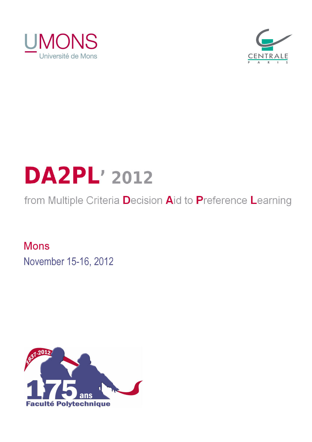



# **DA2PL' 2012**

from Multiple Criteria Decision Aid to Preference Learning

**Mons** November 15-16, 2012

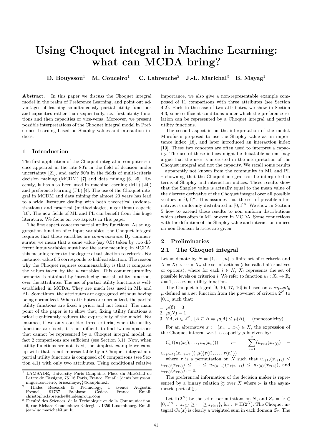# **Using Choquet integral in Machine Learning: what can MCDA bring?**

**D. Bouyssou**<sup>1</sup> **M. Couceiro**<sup>1</sup> **C. Labreuche**<sup>2</sup> **J.-L. Marichal**<sup>3</sup> **B. Mayag**<sup>1</sup>

Abstract. In this paper we discuss the Choquet integral model in the realm of Preference Learning, and point out advantages of learning simultaneously partial utility functions and capacities rather than sequentially, i.e., first utility functions and then capacities or vice-versa. Moreover, we present possible interpretations of the Choquet integral model in Preference Learning based on Shapley values and interaction indices.

# **1 Introduction**

The first application of the Choquet integral in computer science appeared in the late 80's in the field of decision under uncertainty [21], and early 90's in the fields of multi-criteria decision making (MCDM) [7] and data mining [6, 25]. Recently, it has also been used in machine learning (ML) [24]) and preference learning (PL) [4]. The use of the Choquet integral in MCDM and data mining for almost 20 years has lead to a wide literature dealing with both theoretical (axiomatizations) and practical (methodologies, algorithms) aspects [10]. The new fields of ML and PL can benefit from this huge literature. We focus on two aspects in this paper.

The first aspect concerns partial utility functions. As an aggregation function of *n* input variables, the Choquet integral requires that these variables are *commensurate*. By commensurate, we mean that a same value (say 0.5) taken by two different input variables must have the same meaning. In MCDA, this meaning refers to the degree of satisfaction to criteria. For instance, value 0*.*5 corresponds to half-satisfaction. The reason why the Choquet requires commensability is that it compares the values taken by the *n* variables. This commensurability property is obtained by introducing partial utility functions over the attributes. The use of partial utility functions is wellestablished in MCDA. They are much less used in ML and PL. Sometimes, the attributes are aggregated without having being normalized. When attributes are normalized, the partial utility functions are fixed a priori and not learnt. The main point of the paper is to show that, fixing utility functions a priori significantly reduces the expressivity of the model. For instance, if we only consider three criteria, when the utility functions are fixed, it is not difficult to find two comparisons that cannot be represented by a Choquet integral model: in fact 2 comparisons are sufficient (see Section 3.1). Now, when utility functions are not fixed, the simplest example we came up with that is not representable by a Choquet integral and partial utility functions is composed of 6 comparisons (see Section 4.1) with only two attributes. Using conditional relative importance, we also give a non-representable example composed of 11 comparisons with three attributes (see Section 4.2). Back to the case of two attributes, we show in Section 4.3, some sufficient conditions under which the preference relation can be represented by a Choquet integral and partial utility functions.

The second aspect is on the interpretation of the model. Murofushi proposed to use the Shapley value as an importance index [18], and later introduced an interaction index [19]. These two concepts are often used to interpret a capacity. The use of these indices might be debatable as one may argue that the user is interested in the interpretation of the Choquet integral and not the capacity. We recall some results – apparently not known from the community in ML and PL – showning that the Choquet integral can be interpreted in terms of Shapley and interaction indices. These results show that the Shapley value is actually equal to the mean value of the discrete derivative of the Choquet integral over all possible vectors in  $[0,1]^n$ . This assumes that the set of possible alternatives is uniformly distributed in  $[0, 1]^n$ . We show in Section 5 how to extend these results to non uniform distributions which arises often in ML or even in MCDA. Some connections with the definition of the Shapley value and interaction indices on non-Boolean lattices are given.

#### **2 Preliminaries**

#### **2.1 The Choquet integral**

Let us denote by  $N = \{1, \ldots, n\}$  a finite set of *n* criteria and  $X = X_1 \times \cdots \times X_n$  the set of actions (also called alternatives or options), where for each  $i \in N$ ,  $X_i$  represents the set of possible levels on criterion *i*. We refer to function  $u_i: X_i \to \mathbb{R}$ ,  $i = 1, \ldots, n$ , as utility function.

The Choquet integral [9, 10, 17, 16] is based on a *capacity*  $\mu$  defined as a set function from the powerset of criteria  $2^N$  to [0*,* 1] such that:

- 1.  $\mu(\emptyset) = 0$
- 2.  $\mu(N) = 1$
- 3.  $\forall A, B \in 2^N$ ,  $[A \subseteq B \Rightarrow \mu(A) \le \mu(B)]$  (monotonicity).

For an alternative  $x := (x_1, ..., x_n) \in X$ , the expression of the Choquet integral w.r.t. a capacity  $\mu$  is given by:

$$
C_{\mu}((u_1(x_1),...,u_n(x_n))) = \sum_{i=1}^n (u_{\tau(i)}(x_{\tau(i)}) -
$$

 $u_{\tau(i-1)}(x_{\tau(i-1)}) \mu({\tau(i), \ldots, \tau(n)})$ 

where  $\tau$  is a permutation on  $\widetilde{N}$  such that  $u_{\tau(1)}(x_{\tau(1)}) \leq$  $u_{\tau(2)}(x_{\tau(2)}) \leq \cdots \leq u_{\tau(n-1)}(x_{\tau(n-1)}) \leq u_{\tau(n)}(x_{\tau(n)})$ , and  $u_{\tau(0)}(x_{\tau(0)}) := 0.$ 

The preferential information of the decision maker is represented by a binary relation  $\succsim$  over *X* where  $\succ$  is the asymmetric part of  $\succeq$ .

Let  $\Pi(2^N)$  be the set of permutations on *N*, and  $Z_{\tau} = \{z \in$  $[0,1]^n$ :  $z_{\tau(1)} \geq \cdots \geq z_{\tau(n)}\}$ , for  $\tau \in \Pi(2^N)$ . The Choquet integral  $C_{\mu}(x)$  is clearly a weighted sum in each domain  $Z_{\tau}$ . The

<sup>&</sup>lt;sup>1</sup> LAMSADE, University Paris Dauphine, Place du Maréchal de Lattre de Tassigny, 75116 Paris, France. Email: {denis.bouyssou, miguel.couceiro, brice.mayag}@dauphine.fr

<sup>&</sup>lt;sup>2</sup> Thales Research & Technology, 1 avenue Augustin Fresnel, 91767 Palaiseau Cedex- France. Email: christophe.labreuche@thalesgroup.com

 $3$  Faculté des Sciences, de la Technologie et de la Communication, 6, rue Richard Coudenhove-Kalergi, L-1359 Luxembourg. Email: jean-luc.marichal@uni.lu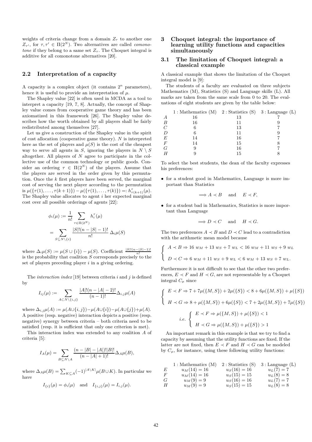weights of criteria change from a domain  $Z<sub>\tau</sub>$  to another one *Z*<sub>τ'</sub>, for  $τ, τ' \in \Pi(2^N)$ . Two alternatives are called *comonotone* if they belong to a same set  $Z_{\tau}$ . The Choquet integral is additive for all comonotone alternatives [20].

# **2.2 Interpretation of a capacity**

A capacity is a complex object (it contains  $2^n$  parameters), hence it is useful to provide an interpretation of *µ*.

The Shapley value [22] is often used in MCDA as a tool to interpret a capacity [19, 7, 8]. Actually, the concept of Shapley value comes from cooperative game theory and has been axiomatized in this framework [26]. The Shapley value describes how the worth obtained by all players shall be fairly redistributed among themselves [27].

Let us give a construction of the Shapley value in the spirit of cost allocation (cooperative game theory). *N* is interpreted here as the set of players and  $\mu(S)$  is the cost of the cheapest way to serve all agents in *S*, ignoring the players in  $N \setminus S$ altogether. All players of *N* agree to participate in the collective use of the common technology or public goods. Consider an ordering  $\tau \in \Pi(2^N)$  of the players. Assume that the players are served in the order given by this permutation. Once the *k* first players have been served, the marginal cost of serving the next player according to the permutation is  $\mu({\{\tau(1), \ldots, \tau(k+1)\}) - \mu({\{\tau(1), \ldots, \tau(k)\}) =: h_{\tau(k+1)}^{\tau}(\mu).}$ The Shapley value allocates to agent *i* her expected marginal cost over all possible orderings of agents [22]:

$$
\phi_i(\mu) := \frac{1}{n!} \sum_{\tau \in \Pi(2^N)} h_i^{\tau}(\mu)
$$
  
= 
$$
\sum_{S \subseteq N \setminus \{i\}} \frac{|S|!(n-|S|-1)!}{n!} \Delta_i \mu(S)
$$

where  $\Delta_i \mu(S) := \mu(S \cup \{i\}) - \mu(S)$ . Coefficient  $\frac{|S|!(n-|S|-1)!}{n!}$ is the probability that coalition  $S$  corresponds precisely to the set of players preceding player *i* in a giving ordering.

The *interaction index* [19] between criteria *i* and *j* is defined by

$$
I_{ij}(\mu) := \sum_{A \subset N \setminus \{i,j\}} \frac{|A|!(n-|A|-2)!}{(n-1)!} \Delta_{i,j} \mu(A)
$$

where  $\Delta_{i,j}\mu(A) := \mu(A \cup \{i,j\}) - \mu(A \cup \{i\}) - \mu(A \cup \{j\}) + \mu(A)$ . A positive (resp. negative) interaction depicts a positive (resp. negative) synergy between criteria – both criteria need to be satisfied (resp. it is sufficient that only one criterion is met).

This interaction index was extended to any coalition *A* of criteria [5]:

$$
I_A(\mu) = \sum_{B \subseteq N \setminus A} \frac{(n - |B| - |A|)! |B|!}{(n - |A| + 1)!} \Delta_A \mu(B),
$$

where  $\Delta_A \mu(B) = \sum_{K \subseteq A} (-1)^{|A \setminus K|} \mu(B \cup K)$ . In particular we have

$$
I_{\{i\}}(\mu) = \phi_i(\mu)
$$
 and  $I_{\{i,j\}}(\mu) = I_{i,j}(\mu)$ .

# **3 Choquet integral: the importance of learning utility functions and capacities simultaneously**

#### **3.1 The limitation of Choquet integral: a classical example**

A classical example that shows the limitation of the Choquet integral model is [9]:

The students of a faculty are evaluated on three subjects Mathematics (M), Statistics (S) and Language skills (L). All marks are taken from the same scale from 0 to 20. The evaluations of eight students are given by the table below:

|        | 1 : Mathematics (M) $2$ : Statistics (S) $3$ : Language (L) |    |  |
|--------|-------------------------------------------------------------|----|--|
| А      | 16                                                          | 13 |  |
| В      | 16                                                          | 11 |  |
| $\,C$  |                                                             | 13 |  |
| D      |                                                             | 11 |  |
| E      | 14                                                          | 16 |  |
| $_{F}$ | 14                                                          | 15 |  |
| G      |                                                             | 16 |  |
| H      |                                                             | 15 |  |

To select the best students, the dean of the faculty expresses his preferences:

• for a student good in Mathematics, Language is more important than Statistics

$$
\implies A \prec B
$$
 and  $E \prec F$ ,

• for a student bad in Mathematics, Statistics is more important than Language

$$
\implies D \prec C \quad \text{ and } \quad H \prec G.
$$

The two preferences  $A \prec B$  and  $D \prec C$  lead to a contradiction with the arithmetic mean model because

$$
\begin{cases}\nA \prec B \Rightarrow 16 \ w_M + 13 \ w_S + 7 \ w_L < 16 \ w_M + 11 \ w_S + 9 \ w_L \\
D \prec C \Rightarrow 6 \ w_M + 11 \ w_S + 9 \ w_L < 6 \ w_M + 13 \ w_S + 7 \ w_L.\n\end{cases}
$$

Furthermore it is not difficult to see that the other two preferences,  $E \prec F$  and  $H \prec G$ , are not representable by a Choquet integral  $C_\mu$  since

$$
\begin{cases}\nE \prec F \Rightarrow 7 + 7\mu(\{M, S\}) + 2\mu(\{S\}) < 8 + 6\mu(\{M, S\}) + \mu(\{S\}) \\
H \prec G \Rightarrow 8 + \mu(\{M, S\}) + 6\mu(\{S\}) < 7 + 2\mu(\{M, S\}) + 7\mu(\{S\})\n\end{cases}
$$
\ni.e.

\n
$$
\begin{cases}\nE \prec F \Rightarrow \mu(\{M, S\}) + \mu(\{S\}) < 1 \\
H \prec G \Rightarrow \mu(\{M, S\}) + \mu(\{S\}) > 1\n\end{cases}
$$

An important remark in this example is that we try to find a capacity by assuming that the utility functions are fixed. If the latter are not fixed, then  $E \prec F$  and  $H \prec G$  can be modeled by  $C_{\mu}$ , for instance, using these following utility functions:

1: Mathematics (M) 2: Statistics (S) 3: Language (L)  
\nE 
$$
u_M(14) = 16
$$
  $u_S(16) = 16$   $u_L(7) = 7$   
\nF  $u_M(14) = 16$   $u_S(15) = 15$   $u_L(8) = 8$   
\nG  $u_M(9) = 9$   $u_S(16) = 16$   $u_L(7) = 7$   
\nH  $u_M(9) = 9$   $u_S(15) = 15$   $u_L(8) = 8$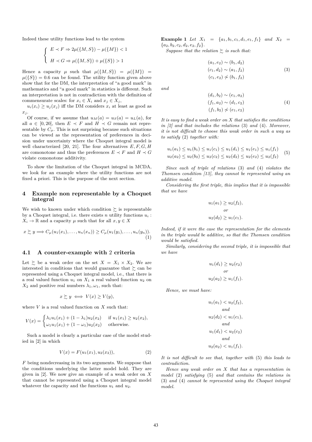Indeed these utility functions lead to the system

$$
\begin{cases} E \prec F \Rightarrow 2\mu(\{M, S\}) - \mu(\{M\}) < 1 \\ H \prec G \Rightarrow \mu(\{M, S\}) + \mu(\{S\}) > 1 \end{cases}
$$

Hence a capacity  $\mu$  such that  $\mu({M, S}) = \mu({M}) =$  $\mu({S}) = 0.6$  can be found. The utility function given above show that for the DM, the interpretation of "a good mark" in mathematics and "a good mark" in statistics is different. Such an interpretation is not in contradiction with the definition of commensurate scales: for  $x_i \in X_i$  and  $x_j \in X_j$ ,

 $u_i(x_i) \ge u_j(x_j)$  iff the DM considers  $x_i$  at least as good as *x<sup>j</sup>* .

Of course, if we assume that  $u_M(a) = u_S(a) = u_L(a)$ , for all  $a \in [0, 20]$ , then  $E \prec F$  and  $H \prec G$  remain not representable by  $C_{\mu}$ . This is not surprising because such situations can be viewed as the representation of preferences in decision under uncertainty where the Choquet integral model is well characterized [20, 21]. The four alternatives *E, F, G, H* are comonotone and thus the preferences  $E \prec F$  and  $H \prec G$ violate comonotone additivity.

To show the limitation of the Choquet integral in MCDA, we look for an example where the utility functions are not fixed a priori. This is the purpose of the next section.

#### **4 Example non representable by a Choquet integral**

We wish to known under which condition  $\succsim$  is representable by a Choquet integral, i.e. there exists  $n$  utility functions  $u_i$ :  $X_i \to \mathbb{R}$  and a capacity  $\mu$  such that for all  $x, y \in X$ 

$$
x \succsim y \Longrightarrow C_{\mu}(u_1(x_1),\ldots,u_n(x_n)) \geq C_{\mu}(u_1(y_1),\ldots,u_n(y_n)). \tag{1}
$$

# **4.1 A counter-example with** 2 **criteria**

Let  $\succsim$  be a weak order on the set  $X = X_1 \times X_2$ . We are interested in conditions that would guarantee that  $\succsim$  can be represented using a Choquet integral model, i.e., that there is a real valued function  $u_1$  on  $X_1$  a real valued function  $u_2$  on  $X_2$  and positive real numbers  $\lambda_1, \omega_1$ , such that:

$$
x \succsim y \iff V(x) \ge V(y),
$$

where  $V$  is a real valued function on  $X$  such that:

$$
V(x) = \begin{cases} \lambda_1 u_1(x_1) + (1 - \lambda_1) u_2(x_2) & \text{if } u_1(x_1) \ge u_2(x_2), \\ \omega_1 u_1(x_1) + (1 - \omega_1) u_2(x_2) & \text{otherwise.} \end{cases}
$$

Such a model is clearly a particular case of the model studied in [2] in which

$$
V(x) = F(u_1(x_1), u_2(x_2)), \t\t(2)
$$

*F* being nondecreasing in its two arguments. We suppose that the conditions underlying the latter model hold. They are given in [2]. We now give an example of a weak order on *X* that cannot be represented using a Choquet integral model whatever the capacity and the functions  $u_1$  and  $u_2$ .

**Example 1** *Let*  $X_1 = \{a_1, b_1, c_1, d_1, e_1, f_1\}$  *and*  $X_2 =$  ${a_2, b_2, c_2, d_2, e_2, f_2}.$ 

*Suppose that the relation*  $\geq$  *is such that:* 

$$
(a_1, e_2) \sim (b_1, d_2)
$$
  
\n
$$
(c_1, d_2) \sim (a_1, f_2)
$$
  
\n
$$
(c_1, e_2) \not\sim (b_1, f_2)
$$
  
\n(3)

*and*

$$
(d_1, b_2) \sim (e_1, a_2)
$$
  
(f<sub>1</sub>, a<sub>2</sub>) \sim (d<sub>1</sub>, c<sub>2</sub>)  
(f<sub>1</sub>, b<sub>2</sub>)  $\not\sim$  (e<sub>1</sub>, c<sub>2</sub>) (4)

*It is easy to find a weak order on X that satisfies the conditions in [2] and that includes the relations* (3) *and* (4)*. Moreover, it is not difficult to choose this weak order in such a way as to satisfy* (2) *together with:*

$$
u_1(a_1) \le u_1(b_1) \le u_1(c_1) \le u_1(d_1) \le u_1(e_1) \le u_1(f_1)
$$
  

$$
u_2(a_2) \le u_2(b_2) \le u_2(c_2) \le u_2(d_2) \le u_2(e_2) \le u_2(f_2)
$$
 (5)

*Since each of triple of relations* (3) *and* (4) *violates the Thomsen condition [13], they cannot be represented using an additive model.*

*Considering the first triple, this implies that it is impossible that we have*

$$
u_1(a_1) \ge u_2(f_2),
$$
  
or  

$$
u_2(d_2) \ge u_1(c_1).
$$

*Indeed, if it were the case the representation for the elements in the triple would be additive, so that the Thomsen condition would be satisfied.*

*Similarly, considering the second triple, it is impossible that we have*

$$
u_1(d_1) \ge u_2(c_2)
$$
  
or  

$$
u_2(a_2) \ge u_1(f_1).
$$

*Hence, we must have:*

$$
u_1(a_1) < u_2(f_2),
$$
\nand

\n
$$
u_2(d_2) < u_1(c_1),
$$
\nand

\n
$$
u_1(d_1) < u_2(c_2)
$$
\nand

\n
$$
u_2(a_2) < u_1(f_1).
$$

*It is not difficult to see that, together with* (5) *this leads to contradiction.*

*Hence any weak order on X that has a representation in model* (2) *satisfying* (5) *and that contains the relations in* (3) *and* (4) *cannot be represented using the Choquet integral model.*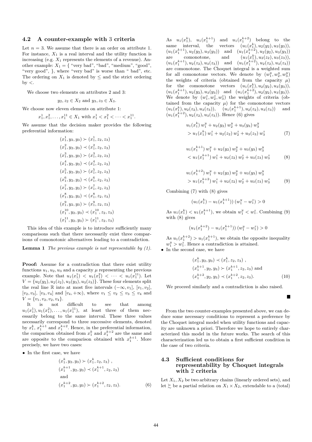#### **4.2 A counter-example with** 3 **criteria**

Let  $n = 3$ . We assume that there is an order on attribute 1. For instance,  $X_1$  is a real interval and the utility function is increasing (e.g.  $X_1$  represents the elements of a revenue). Another example:  $X_1 = \{$  "very bad", "bad", "medium", "good", "very good", }, where "very bad" is worse than " bad", etc. The ordering on  $X_1$  is denoted by  $\leq$  and the strict ordering by *<*.

We choose two elements on attributes 2 and 3:

 $y_2, z_2 \in X_2$  and  $y_3, z_3 \in X_3$ .

We choose now eleven elements on attribute 1:

$$
x_1^1, x_1^2, \dots, x_1^{11} \in X_1 \text{ with } x_1^1 < x_1^2 < \dots < x_1^{11}.
$$

We assume that the decision maker provides the following preferential information:

$$
(x_1^1, y_2, y_3) \succ (x_1^1, z_2, z_3)
$$
  
\n
$$
(x_1^2, y_2, y_3) \prec (x_1^2, z_2, z_3)
$$
  
\n
$$
(x_1^3, y_2, y_3) \succ (x_1^3, z_2, z_3)
$$
  
\n
$$
(x_1^4, y_2, y_3) \prec (x_1^4, z_2, z_3)
$$
  
\n
$$
(x_1^5, y_2, y_3) \succ (x_1^5, z_2, z_3)
$$
  
\n
$$
(x_1^6, y_2, y_3) \prec (x_1^6, z_2, z_3)
$$
  
\n
$$
(x_1^7, y_2, y_3) \prec (x_1^7, z_2, z_3)
$$
  
\n
$$
(x_1^8, y_2, y_3) \prec (x_1^8, z_2, z_3)
$$
  
\n
$$
(x_1^9, y_2, y_3) \prec (x_1^1, z_2, z_3)
$$
  
\n
$$
(x_1^{10}, y_2, y_3) \prec (x_1^{10}, z_2, z_3)
$$
  
\n
$$
(x_1^{11}, y_2, y_3) \succ (x_1^{11}, z_2, z_3)
$$

This idea of this example is to introduce sufficiently many comparisons such that there necessarily exist three comparisons of comonotonic alternatives leading to a contradiction.

**Lemma 1** *The previous example is not representable by (1).*

**Proof:** Assume for a contradiction that there exist utility functions  $u_1, u_2, u_3$  and a capacity  $\mu$  representing the previous example. Note that  $u_1(x_1^1) < u_1(x_1^2) < \cdots < u_1(x_1^{11})$ . Let  $V = {u_2(y_2), u_2(z_2), u_3(y_3), u_3(z_3)}$ . These four elements split the real line R into at most five intervals  $(-\infty, v_1]$ ,  $[v_1, v_2]$ ,  $[v_2, v_3]$ ,  $[v_3, v_4]$  and  $[v_4, +\infty)$ , where  $v_1 \le v_2 \le v_3 \le v_4$  and  $V = \{v_1, v_2, v_2, v_4\}.$ 

It is not difficult to see that among  $u_1(x_1^1), u_1(x_1^2), \ldots, u_1(x_1^{11}),$  at least three of them necessarily belong to the same interval. These three values necessarily correspond to three successive elements, denoted by  $x_1^k, x_1^{k+1}$  and  $x_1^{k+2}$ . Hence, in the preferential information, the comparison obtained from  $x_1^k$  and  $x_1^{k+2}$  are the same and are opposite to the comparison obtained with  $x_1^{k+1}$ . More precisely, we have two cases:

• In the first case, we have

$$
(x_1^k, y_2, y_3) \succ (x_1^k, z_2, z_3),(x_1^{k+1}, y_2, y_3) \prec (x_1^{k+1}, z_2, z_3)\nand
$$
(x_1^{k+2}, y_2, y_3) \succ (x_1^{k+2}, z_2, z_3).
$$
\n(6)
$$

As  $u_1(x_1^k)$ ,  $u_1(x_1^{k+1})$  and  $u_1(x_1^{k+2})$  belong to the same interval, the vectors  $(u_1(x_1^k), u_2(y_2), u_3(y_3)),$  $(u_1(x_1^{k+1}), u_2(y_2), u_3(y_3))$  and  $(u_1(x_1^{k+2}), u_2(y_2), u_3(y_3))$ are comonotone, and  $(u_1(x_1^k), u_2(z_2), u_3(z_3)),$  $(u_1(x_1^{k+1}), u_2(z_2), u_3(z_3))$  and  $(u_1(x_1^{k+2}), u_2(z_2), u_3(z_3))$ are comonotone. The Choquet integral is a weighted sum for all comonotone vectors. We denote by  $(w_1^y, w_2^y, w_3^y)$ the weights of criteria (obtained from the capacity  $\mu$ ) for the comonotone vectors  $(u_1(x_1^k), u_2(y_2), u_3(y_3)),$  $(u_1(x_1^{k+1}), u_2(y_2), u_3(y_3))$  and  $(u_1(x_1^{k+2}), u_2(y_2), u_3(y_3)).$ We denote by  $(w_1^z, w_2^z, w_3^z)$  the weights of criteria (obtained from the capacity  $\mu$ ) for the comonotone vectors  $(u_1(x_1^k), u_2(z_2), u_3(z_3)), \quad (u_1(x_1^{k+1}), u_2(z_2), u_3(z_3)) \quad \text{and}$  $(u_1(x_1^{k+2}), u_2(z_2), u_3(z_3))$ . Hence (6) gives

$$
u_1(x_1^k) w_1^y + u_2(y_2) w_2^y + u_3(y_3) w_3^y
$$
  
> 
$$
u_1(x_1^k) w_1^z + u_2(z_2) w_2^z + u_3(z_3) w_3^z
$$
 (7)

$$
u_1(x_1^{k+1}) w_1^y + u_2(y_2) w_2^y + u_3(y_3) w_3^y
$$
  

$$
< u_1(x_1^{k+1}) w_1^z + u_2(z_2) w_2^z + u_3(z_3) w_3^z
$$
 (8)

$$
u_1(x_1^{k+2}) w_1^y + u_2(y_2) w_2^y + u_3(y_3) w_3^y
$$
  
> 
$$
u_1(x_1^{k+2}) w_1^z + u_2(z_2) w_2^z + u_3(z_3) w_3^z
$$
 (9)

Combining (7) with (8) gives

$$
(u_1(x_1^k) - u_1(x_1^{k+1})) (w_1^y - w_1^z) > 0
$$

As  $u_1(x_1^k) < u_1(x_1^{k+1})$ , we obtain  $w_1^y < w_1^z$ . Combining (9) with (8) gives

$$
(u_1(x_1^{k+2}) - u_1(x_1^{k+1})) (w_1^y - w_1^z) > 0
$$

As  $u_1(x_1^{k+2}) > u_1(x_1^{k+1})$ , we obtain the opposite inequality  $w_1^y > w_1^z$ . Hence a contradiction is attained.

• In the second case, we have

$$
(x_1^k, y_2, y_3) \prec (x_1^k, z_2, z_3),(x_1^{k+1}, y_2, y_3) \succ (x_1^{k+1}, z_2, z_3) \text{ and}(x_1^{k+2}, y_2, y_3) \prec (x_1^{k+2}, z_2, z_3).
$$
 (10)

Е

We proceed similarly and a contradiction is also raised.

From the two counter-examples presented above, we can deduce some necessary conditions to represent a preference by the Choquet integral model when utility functions and capacity are unknown a priori. Therefore we hope to entirely characterized this model in the future works. The search of this characterization led us to obtain a first sufficient condition in the case of two criteria.

### **4.3 Sufficient conditions for representability by Choquet integrals with** 2 **criteria**

Let  $X_1, X_2$  be two arbitrary chains (linearly ordered sets), and let  $\succeq$  be a partial relation on  $X_1 \times X_2$ , extendable to a (total)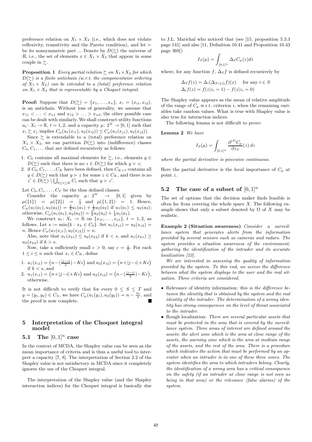preference relation on  $X_1 \times X_2$  (i.e., which does not violate reflexivity, transitivity and the Pareto condition), and let  $\succ$ be its nonsymmetric part ... Denote by  $D(\succeq)$  the universe of *R*, i.e., the set of elements  $x \in X_1 \times X_2$  that appear in some couple in  $\succsim$ .

**Proposition 1** *Every partial relation*  $\geq$  *on*  $X_1 \times X_2$  *for which*  $D(\succeq)$  *is a finite antichain (w.r.t. the componentwise ordering of*  $X_1 \times X_2$  *can be extended to a (total) preference relation on*  $X_1 \times X_2$  *that is representable by a Choquet integral.* 

**Proof:** Suppose that  $D(\succsim) = \{x_1, \ldots, x_n\}, x_i = (x_{i1}, x_{i2}),$ is an antichain. Without loss of generality, we assume that  $x_{11} \leq \ldots \leq x_{n1}$  and  $x_{12} \geq \ldots \geq x_{n2}$ ; the other possible case can be dealt with similarly. We shall construct utility functions  $u_t: X_t \to \mathbb{R}, t = 1, 2$ , and a capacity  $\mu: 2^N \to [0, 1]$  such that  $x_i \succsim x_j$  implies  $C_\mu(u_1(x_{i1}), u_2(x_{i2})) \leq C_\mu(u_1(x_{j1}), u_2(x_{j2})).$ 

Since  $\succsim$  is extendable to a (total) preference relation on  $X_1 \times X_2$ , we can partition  $D(\succeq)$  into (indifference) classes  $C_0, C_1, \ldots$  that are defined recursively as follows:

- 1.  $C_0$  contains all maximal elements for  $\succsim$ , i.e., elements  $y \in$ *D*( $\succeq$ ) such that there is no  $z \in D(\succeq)$  for which  $y \succ z$ ;
- 2. if  $C_0, C_1, \ldots, C_K$  have been defined, then  $C_{K+1}$  contains all *y* ∈ *D*( $\succ$ ) such that *y* ≻ *z* for some *z* ∈ *C<sub>K</sub>*, and there is no  $z' \in D(\succsim) \setminus \bigcup_{0 \leq t \leq K} C_t$  such that  $y \succ z'$ .

Let  $C_0, C_1, \ldots, C_T$  be the thus defined classes.

Consider the capacity  $\mu: 2^N \rightarrow [0,1]$  given by  $\mu({1}) = \mu({2}) = \frac{1}{3}$  and  $\mu({1,2}) = 1$ . Hence,  $C_{\mu}(u_1(a_1), u_2(a_2)) = \frac{2}{3}u_1(a_1) + \frac{1}{3}u_2(a_2)$  if  $u_1(a_1) \le u_2(a_2);$ otherwise,  $C_{\mu}(u_1(a_1), u_2(a_2)) = \frac{2}{3}u_2(a_2) + \frac{1}{3}u_1(a_1)$ .

We construct  $u_t: X_t \to \mathbb{R}$  on  $\{x_{1t}, \ldots, x_{nt}\}, t = 1, 2$ , as follows. Let  $s := \min\{k : x_k \in C_0\}$ . Set  $u_1(x_{s1}) = u_2(x_{s2}) =$ *n*. Hence  $C_{\mu}(u_1(x_{j1}), u_2(x_{j2})) = n$ .

Also, note that  $u_1(x_{k1}) \leq u_2(x_{k2})$  if  $k < s$ , and  $u_1(x_{k1}) \geq$  $u_2(x_{k2})$  if  $k > s$ .

Now, take a sufficiently small  $\epsilon > 0$ , say  $\epsilon = \frac{1}{n}$ . For each  $1 \leq i \leq n$  such that  $x_i \in C_K$ , define

- 1.  $u_1(x_{i1}) = (n (\frac{|j-i|}{2}) K\epsilon)$  and  $u_2(x_{i2}) = (n + |j-i| + K\epsilon)$ if  $k < s$ , and
- 2.  $u_1(x_{i1}) = (n+|j-i|+K\epsilon)$  and  $u_2(x_{i2}) = (n-(\frac{|j-i|}{4})-K\epsilon)$ , otherwise.

It is not difficult to verify that for every  $0 \leq S \leq T$  and *y* = (*y*<sub>1</sub>, *y*<sub>2</sub>) ∈ *C<sub>S</sub>*, we have  $C_{\mu}(u_1(y_1), u_2(y_2)) = n - \frac{S_{\epsilon}}{3}$ , and the proof is now complete.

# **5 Interpretation of the Choquet integral model**

# **5.1 The** [0*,* 1]*<sup>n</sup>* **case**

In the context of MCDA, the Shapley value can be seen as the mean importance of criteria and is thus a useful tool to interpret a capacity [7, 8]. The interpretation of Section 2.2 of the Shapley value is not satisfactory in MCDA since it completely ignores the use of the Choquet integral.

The interpretation of the Shapley value (and the Shapley interaction indices) for the Choquet integral is basically due to J.L. Marichal who noticed that (see [15, proposition 5.3.3 page 141] and also [11, Definition 10.41 and Proposition 10.43 page 369])

$$
I_S(\mu) = \int_{[0,1]^n} \Delta_S C_{\mu}(z) dz
$$

where, for any function  $f$ ,  $\Delta_S f$  is defined recursively by

$$
\Delta_S f(z) = \Delta_i(\Delta_{S \setminus \{i\}} f)(x) \quad \text{for any } i \in S
$$
  

$$
\Delta_i f(z) = f(z|z_i = 1) - f(z|z_i = 0)
$$

The Shapley value appears as the mean of relative amplitude of the range of  $C_\mu$  w.r.t. criterion *i*, when the remaining variables take random values. What is true with Shapley value is also true for interaction indices.

The following lemma is not difficult to prove:

**Lemma 2** *We have*

$$
I_S(\mu) = \int_{[0,1]^n} \frac{\partial^{|S|} C_{\mu}}{\partial z_S}(z) dz
$$

*where the partial derivative is piecewise continuous.*

Here the partial derivative is the local importance of  $C<sub>u</sub>$  at point *z*.

#### **5.2** The case of a subset of  $[0,1]^n$

The set of options that the decision maker finds feasible is often far from covering the whole space *X*. The following example shows that only a subset denoted by  $\Omega$  of  $X$  may be realistic.

**Example 2 (Situation awareness)** *Consider a surveillance system that generates alerts from the information provided by several sensors such as cameras and radars. The system provides a situation awareness of the environment, gathering the identification of the intruder and its accurate localization [23].*

*We are interested in assessing the quality of information provided by the system. To this end, we access the difference between what the system displays to the user and the real situation. Three criteria are considered.*

- Relevance of identity information*: this is the difference between the identity that is obtained by the system and the real identity of the intruder. The determination of a wrong identity has strong consequences on the level of threat associated to the intruder.*
- Rough localization*: There are several particular assets that must be protected in the area that is covered by the surveillance system. Three areas of interest are defined around the assets: the alert zone which is the area at close range of the assets, the warning zone which is the area at medium range of the assets, and the rest of the area. There is a procedure which indicates the action that must be performed by an operator when an intruder is in one of these three zones. The system identifies the area to which intruders belong. Clearly, the identification of a wrong area has a critical consequence on the safety (if an intruder at close range is not seen as being in that area) or the relevance (false alarms) of the system.*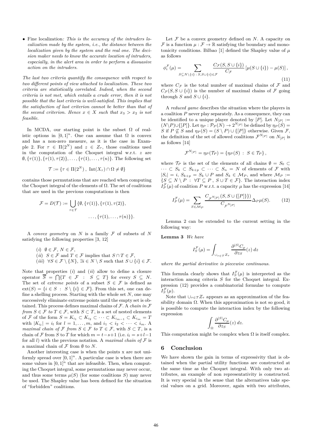• Fine localization*: This is the accuracy of the intruders localization made by the system, i.e., the distance between the localization given by the system and the real one. The decision maker needs to know the accurate location of intruders, especially, in the alert area in order to perform a dissuasive action on the intruders.*

*The last two criteria quantify the consequence with respect to two different points of view attached to localization. These two criteria are statistically correlated. Indeed, when the second criteria is not met, which entails a crude error, then it is not possible that the last criteria is well-satisfied. This implies that the satisfaction of last criterion cannot be better than that of the second criterion. Hence*  $x \in X$  *such that*  $x_3 > x_2$  *is not feasible.*

In MCDA, our starting point is the subset  $\Omega$  of realistic options in  $[0,1]^n$ . One can assume that  $\Omega$  is convex and has a non-zero measure, as it is the case in Example 2. For  $\tau \in \Pi(2^N)$  and  $z \in Z_\tau$ , those coalitions used in the computation of the Choquet integral w.r.t. *z* are  $\emptyset$ ,  $\{\tau(1), \tau(2), \ldots, \tau(n)\}.$  The following set

$$
\mathcal{T} := \{ \tau \in \Pi(2^N) , \, \operatorname{Int}(X_\tau) \cap \Omega \neq \emptyset \}
$$

contains those permutations that are reached when computing the Choquet integral of the elements of  $\Omega$ . The set of coalitions that are used in the previous computations is then

$$
\mathcal{F} = D(\mathcal{T}) := \bigcup_{\tau \in \mathcal{T}} \{ \emptyset, \{ \tau(1) \}, \{ \tau(1), \tau(2) \},
$$

$$
\dots, \{ \tau(1), \dots, \tau(n) \} \}.
$$

A *convex geometry* on *N* is a family F of subsets of *N* satisfying the following properties [3, 12]

- (*i*)  $\emptyset \in \mathcal{F}, N \in \mathcal{F},$
- (*ii*)  $S \in \mathcal{F}$  and  $T \in \mathcal{F}$  implies that  $S \cap T \in \mathcal{F}$ ,
- $(iii) \ \forall S \in \mathcal{F} \setminus \{N\}, \exists i \in N \setminus S \text{ such that } S \cup \{i\} \in \mathcal{F}.$

Note that properties (*i*) and (*ii*) allow to define a closure operator  $\overline{S} = \bigcap \{T \in \mathcal{F} : S \subseteq T\}$  for every  $S \subseteq N$ . The set of *extreme points* of a subset  $S \in \mathcal{F}$  is defined as  $ext(S) = \{i \in S : S \setminus \{i\} \in \mathcal{F}\}\.$  From this set, one can define a shelling process. Starting with the whole set *N*, one may successively eliminate extreme points until the empty set is obtained. This process defines maximal chains of F. A *chain in* F *from*  $S \in \mathcal{F}$  *to*  $T \in \mathcal{F}$ , with  $S \subset T$ , is a set of nested elements of F of the form  $S = K_{i_1} \subset K_{i_2} \subset \cdots \subset K_{i_{m-1}} \subset K_{i_m} = T$ with  $|K_{i_l}| = i_l$  for  $l = 1, ..., m$ , and  $i_1 < i_2 < \cdots < i_m$ . A *maximal chain of*  $\mathcal{F}$  *from*  $S \in \mathcal{F}$  *to*  $T \in \mathcal{F}$ , with  $S \subset T$ , is a chain of F from S to T for which  $m = t - s + 1$  (i.e.  $i_l = s + l - 1$ ) for all *l*) with the previous notation. A *maximal chain of*  $F$  is a maximal chain of  $\mathcal F$  from  $\emptyset$  to  $N$ .

Another interesting case is when the points x are not uniformly spread over  $[0, 1]^n$ . A particular case is when there are some values in  $[0, 1]^n$  that are infeasible. Then, when computing the Choquet integral, some permutations may never occur, and thus some terms  $\mu(S)$  (for some coalitions *S*) may never be used. The Shapley value has been defined for the situation of "forbidden" coalitions.

Let  $F$  be a convex geometry defined on  $N$ . A capacity on F is a function  $\mu : \mathcal{F} \to \mathbb{R}$  satisfying the boundary and monotonicity conditions. Bilbao [1] defined the Shapley value of  $\mu$ as follows

$$
\phi_i^{\mathcal{F}}(\mu) = \sum_{S \subseteq N \setminus \{i\} \,:\, S, S \cup \{i\} \in \mathcal{F}} \frac{C_{\mathcal{F}}(S, S \cup \{i\})}{C_{\mathcal{F}}} \left[\mu(S \cup \{i\}) - \mu(S)\right],\tag{11}
$$

where  $C_F$  is the total number of maximal chains of  $\mathcal F$  and  $C_{\mathcal{F}}(S, S \cup \{i\})$  is the number of maximal chains of  $\mathcal F$  going through *S* and  $S \cup \{i\}$ .

A *reduced game* describes the situation where the players in a coalition *P* never play separately. As a consequence, they can be identified to a unique player denoted by  $[P]$ . Let  $N_{[P]} :=$  $(N\backslash P)\cup\{[P]\}\text{.}$  Let  $\eta_P:\mathcal{P}_P(N)\to 2^{N[P]}$  be defined by  $\eta_P(S)=$ *S* if  $P \not\subseteq S$  and  $\eta_P(S) = (S \setminus P) \cup \{[P]\}$  otherwise. Given *F*, the definition of the set of allowed coalitions  $\mathcal{F}^{N_{[P]}}$  on  $N_{[P]}$  is as follows [14]

$$
\mathcal{F}^{N_{\{P\}}} = \eta_P(\mathcal{T}_P) = \{\eta_P(S) : S \in \mathcal{T}_P\},\
$$

where  $\mathcal{T}_P$  is the set of the elements of all chains  $\emptyset = S_0 \subset$  $\cdots$  ⊂  $S_k$  ⊂  $S_{k+p}$  ⊂  $\cdots$  ⊂  $S_n$  = N of elements of F with  $|S_i| = i$ ,  $S_{k+p} = S_k \cup P$  and  $S_k \in \mathcal{M}_P$ , and where  $\mathcal{M}_P :=$  $\{S \subseteq N \setminus P : \forall T \subseteq P, S \cup T \in \mathcal{F}\}\$ . The interaction index  $I_P^{\mathcal{F}}(\mu)$  of coalition *P* w.r.t. a capacity  $\mu$  has the expression [14]

$$
I_P^{\mathcal{F}}(\mu) = \sum_{S \in \mathcal{M}_P} \frac{C_{\mathcal{F}^{N_{[P]}}}(S, S \cup \{[P]\})}{C_{\mathcal{F}^{N_{[P]}}}} \Delta_P \mu(S).
$$
 (12)

Lemma 2 can be extended to the current setting in the following way:

**Lemma 3** *We have*

$$
I_S^{\mathcal{F}}(\mu) = \int_{\cup_{\tau \in \mathcal{T}} Z_{\tau}} \frac{\partial^{|S|} C_{\mu}}{\partial z_S}(z) dz
$$

*where the partial derivative is piecewise continuous.*

This formula clearly shows that  $I_S^{\mathcal{F}}(\mu)$  is interpreted as the interaction among criteria *S* for the Choquet integral. Expression (12) provides a combinatorial formulae to compute  $I_{S}^{\mathcal{F}}(\mu).$ 

Note that  $\bigcup_{\tau \in \mathcal{T}} Z_{\tau}$  appears as an approximation of the feasibility domain  $\Omega$ . When this approximation is not so good, it is possible to compute the interaction index by the following expression

$$
\int_{\Omega} \frac{\partial^{|S|} C_{\mu}}{\partial z_S}(z) dz.
$$

This computation might be complex when  $\Omega$  is itself complex.

#### **6 Conclusion**

We have shown the gain in terms of expressivity that is obtained when the partial utility functions are constructed at the same time as the Choquet integral. With only two attributes, an example of non representativity is constructed. It is very special in the sense that the alternatives take special values on a grid. Moreover, again with two attributes,